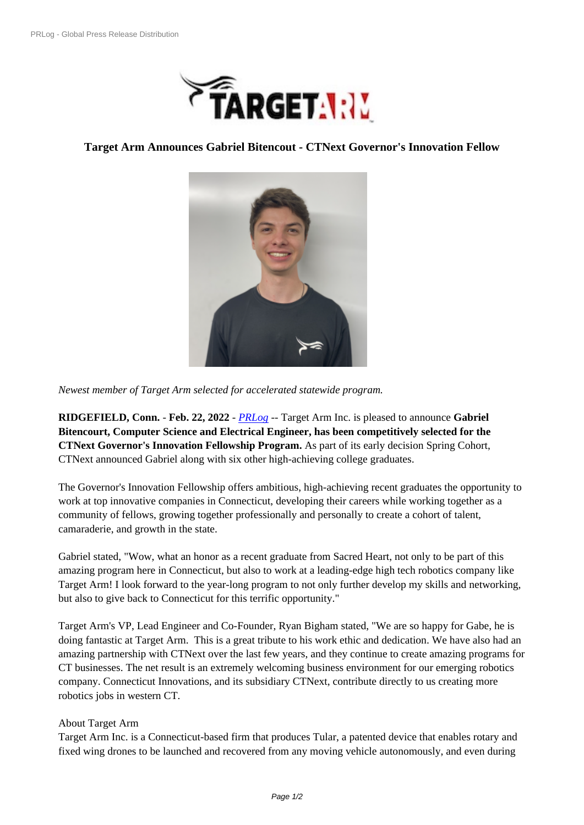

## **Target Arm Anno[unces Gabriel Bitencout - CTNext Gover](https://biz.prlog.org/targetarm/)nor's Innovation Fellow**



*Newest member of Target Ar[m selected for accelerated statewide progr](https://www.prlog.org/12906240-gabe-bitencourt-governors-innovation-fellow.png)am.*

**RIDGEFIELD, Conn.** - **Feb. 22, 2022** - *PRLog* -- Target Arm Inc. is pleased to announce **Gabriel Bitencourt, Computer Science and Electrical Engineer, has been competitively selected for the CTNext Governor's Innovation Fellowship Program.** As part of its early decision Spring Cohort, CTNext announced Gabriel along with si[x other](https://www.prlog.org) high-achieving college graduates.

The Governor's Innovation Fellowship offers ambitious, high-achieving recent graduates the opportunity to work at top innovative companies in Connecticut, developing their careers while working together as a community of fellows, growing together professionally and personally to create a cohort of talent, camaraderie, and growth in the state.

Gabriel stated, "Wow, what an honor as a recent graduate from Sacred Heart, not only to be part of this amazing program here in Connecticut, but also to work at a leading-edge high tech robotics company like Target Arm! I look forward to the year-long program to not only further develop my skills and networking, but also to give back to Connecticut for this terrific opportunity."

Target Arm's VP, Lead Engineer and Co-Founder, Ryan Bigham stated, "We are so happy for Gabe, he is doing fantastic at Target Arm. This is a great tribute to his work ethic and dedication. We have also had an amazing partnership with CTNext over the last few years, and they continue to create amazing programs for CT businesses. The net result is an extremely welcoming business environment for our emerging robotics company. Connecticut Innovations, and its subsidiary CTNext, contribute directly to us creating more robotics jobs in western CT.

## About Target Arm

Target Arm Inc. is a Connecticut-based firm that produces Tular, a patented device that enables rotary and fixed wing drones to be launched and recovered from any moving vehicle autonomously, and even during